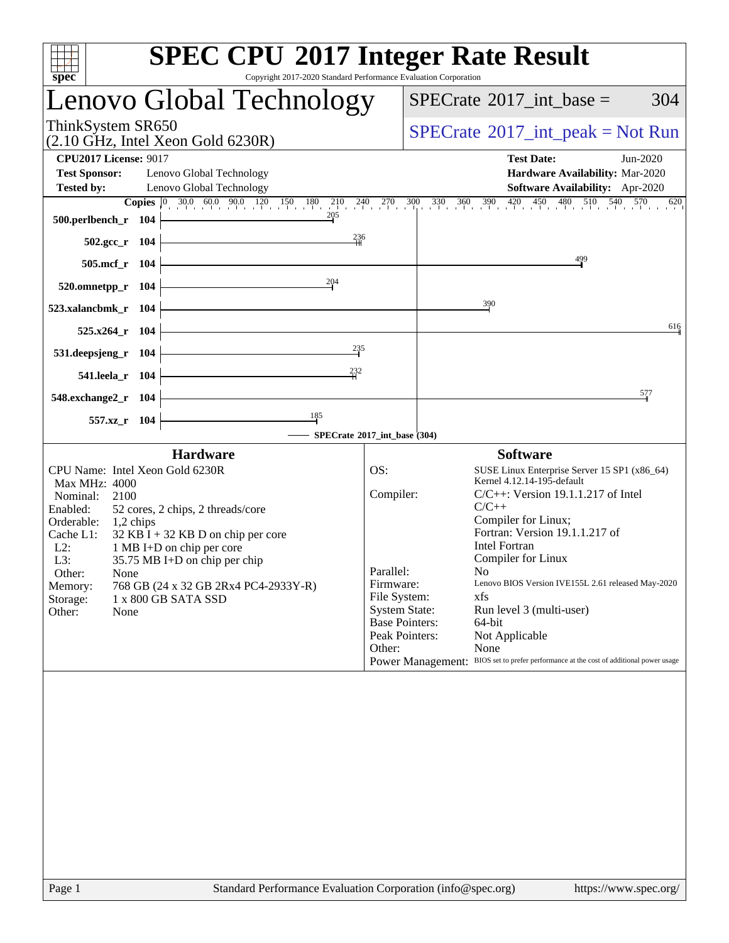| spec <sup>®</sup>                                                                                                                                                                                                                                                                                                                                                                                                                          | <b>SPEC CPU®2017 Integer Rate Result</b><br>Copyright 2017-2020 Standard Performance Evaluation Corporation                                                                                                                                                                                                                                                                                                                                                                                                                                                                                                                                                 |
|--------------------------------------------------------------------------------------------------------------------------------------------------------------------------------------------------------------------------------------------------------------------------------------------------------------------------------------------------------------------------------------------------------------------------------------------|-------------------------------------------------------------------------------------------------------------------------------------------------------------------------------------------------------------------------------------------------------------------------------------------------------------------------------------------------------------------------------------------------------------------------------------------------------------------------------------------------------------------------------------------------------------------------------------------------------------------------------------------------------------|
| Lenovo Global Technology                                                                                                                                                                                                                                                                                                                                                                                                                   | $SPECTate$ <sup>®</sup> 2017_int_base =<br>304                                                                                                                                                                                                                                                                                                                                                                                                                                                                                                                                                                                                              |
| ThinkSystem SR650<br>$(2.10 \text{ GHz}, \text{Intel Xeon Gold } 6230\text{R})$                                                                                                                                                                                                                                                                                                                                                            | $SPECrate^{\circledcirc}2017\_int\_peak = Not Run$                                                                                                                                                                                                                                                                                                                                                                                                                                                                                                                                                                                                          |
| <b>CPU2017 License: 9017</b><br><b>Test Sponsor:</b><br>Lenovo Global Technology<br><b>Tested by:</b><br>Lenovo Global Technology                                                                                                                                                                                                                                                                                                          | <b>Test Date:</b><br>Jun-2020<br>Hardware Availability: Mar-2020<br>Software Availability: Apr-2020                                                                                                                                                                                                                                                                                                                                                                                                                                                                                                                                                         |
| 205<br>500.perlbench_r 104                                                                                                                                                                                                                                                                                                                                                                                                                 | <b>Copies</b> $\begin{bmatrix} 0 & 30.0 & 60.0 & 90.0 & 120 & 150 & 180 & 210 & 240 & 270 & 300 & 330 & 360 & 390 & 420 & 450 & 480 & 510 & 540 & 570 & 620 \end{bmatrix}$                                                                                                                                                                                                                                                                                                                                                                                                                                                                                  |
| 236<br>$502.\text{gcc}_r$ 104<br>505.mcf_r 104                                                                                                                                                                                                                                                                                                                                                                                             | 499                                                                                                                                                                                                                                                                                                                                                                                                                                                                                                                                                                                                                                                         |
| 204<br>$520.0$ mnetpp_r 104                                                                                                                                                                                                                                                                                                                                                                                                                |                                                                                                                                                                                                                                                                                                                                                                                                                                                                                                                                                                                                                                                             |
| 523.xalancbmk_r 104<br>$525.x264_r$ 104                                                                                                                                                                                                                                                                                                                                                                                                    | 390<br>616                                                                                                                                                                                                                                                                                                                                                                                                                                                                                                                                                                                                                                                  |
| 235<br>531.deepsjeng_r 104                                                                                                                                                                                                                                                                                                                                                                                                                 |                                                                                                                                                                                                                                                                                                                                                                                                                                                                                                                                                                                                                                                             |
| 232<br>541.leela_r 104<br>548.exchange2_r 104                                                                                                                                                                                                                                                                                                                                                                                              | 577                                                                                                                                                                                                                                                                                                                                                                                                                                                                                                                                                                                                                                                         |
| $\frac{185}{-1}$<br>557.xz_r 104<br>SPECrate®2017_int_base (304)                                                                                                                                                                                                                                                                                                                                                                           |                                                                                                                                                                                                                                                                                                                                                                                                                                                                                                                                                                                                                                                             |
| <b>Hardware</b><br>CPU Name: Intel Xeon Gold 6230R<br><b>Max MHz: 4000</b><br>Nominal:<br>2100<br>Enabled:<br>52 cores, 2 chips, 2 threads/core<br>Orderable:<br>$1,2$ chips<br>$32$ KB I + 32 KB D on chip per core<br>Cache L1:<br>$L2$ :<br>1 MB I+D on chip per core<br>35.75 MB I+D on chip per chip<br>L3:<br>Other:<br>None<br>768 GB (24 x 32 GB 2Rx4 PC4-2933Y-R)<br>Memory:<br>Storage:<br>1 x 800 GB SATA SSD<br>Other:<br>None | <b>Software</b><br>OS:<br>SUSE Linux Enterprise Server 15 SP1 (x86_64)<br>Kernel 4.12.14-195-default<br>Compiler:<br>$C/C++$ : Version 19.1.1.217 of Intel<br>$C/C++$<br>Compiler for Linux;<br>Fortran: Version 19.1.1.217 of<br><b>Intel Fortran</b><br>Compiler for Linux<br>Parallel:<br>$N_{\Omega}$ and $N_{\Omega}$<br>Lenovo BIOS Version IVE155L 2.61 released May-2020<br>Firmware:<br>File System:<br>xfs<br><b>System State:</b><br>Run level 3 (multi-user)<br><b>Base Pointers:</b><br>64-bit<br>Not Applicable<br>Peak Pointers:<br>None<br>Other:<br>Power Management: BIOS set to prefer performance at the cost of additional power usage |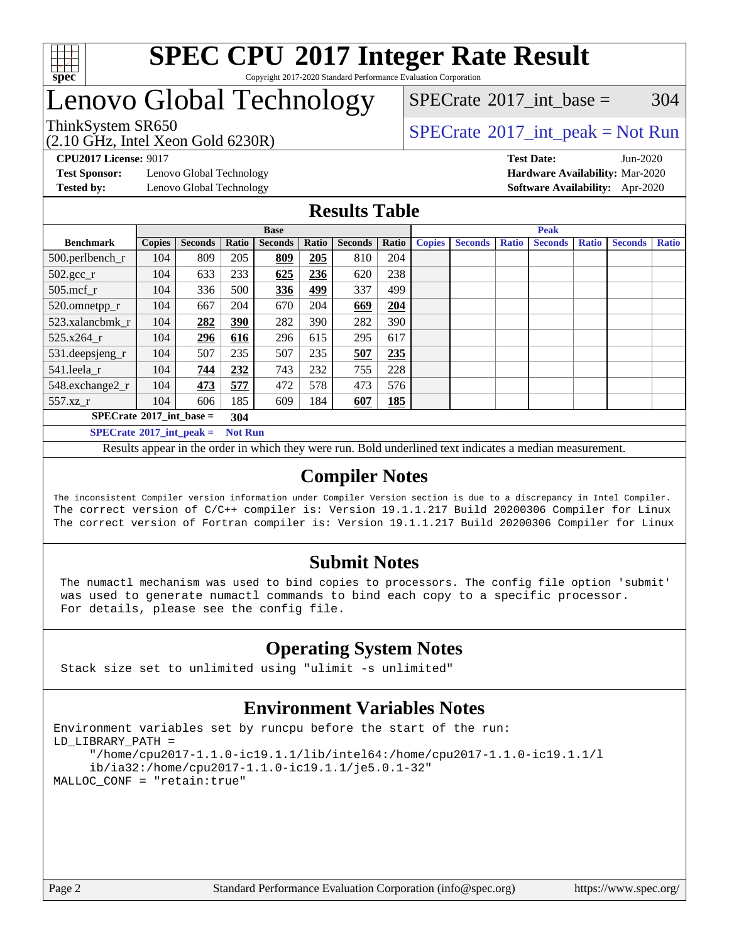

#### **[SPEC CPU](http://www.spec.org/auto/cpu2017/Docs/result-fields.html#SPECCPU2017IntegerRateResult)[2017 Integer Rate Result](http://www.spec.org/auto/cpu2017/Docs/result-fields.html#SPECCPU2017IntegerRateResult)** Copyright 2017-2020 Standard Performance Evaluation Corporation

## Lenovo Global Technology

 $SPECTate$ <sup>®</sup>[2017\\_int\\_base =](http://www.spec.org/auto/cpu2017/Docs/result-fields.html#SPECrate2017intbase) 304

#### ThinkSystem SR650<br>  $SPECTR_{10}$  [SPECrate](http://www.spec.org/auto/cpu2017/Docs/result-fields.html#SPECrate2017intpeak)®[2017\\_int\\_peak = N](http://www.spec.org/auto/cpu2017/Docs/result-fields.html#SPECrate2017intpeak)ot Run

(2.10 GHz, Intel Xeon Gold 6230R)

**[Test Sponsor:](http://www.spec.org/auto/cpu2017/Docs/result-fields.html#TestSponsor)** Lenovo Global Technology **[Hardware Availability:](http://www.spec.org/auto/cpu2017/Docs/result-fields.html#HardwareAvailability)** Mar-2020

**[CPU2017 License:](http://www.spec.org/auto/cpu2017/Docs/result-fields.html#CPU2017License)** 9017 **[Test Date:](http://www.spec.org/auto/cpu2017/Docs/result-fields.html#TestDate)** Jun-2020 **[Tested by:](http://www.spec.org/auto/cpu2017/Docs/result-fields.html#Testedby)** Lenovo Global Technology **[Software Availability:](http://www.spec.org/auto/cpu2017/Docs/result-fields.html#SoftwareAvailability)** Apr-2020

#### **[Results Table](http://www.spec.org/auto/cpu2017/Docs/result-fields.html#ResultsTable)**

|                                   | <b>Base</b>   |                |       |                | <b>Peak</b> |                |       |               |                |              |                |              |                |              |
|-----------------------------------|---------------|----------------|-------|----------------|-------------|----------------|-------|---------------|----------------|--------------|----------------|--------------|----------------|--------------|
| <b>Benchmark</b>                  | <b>Copies</b> | <b>Seconds</b> | Ratio | <b>Seconds</b> | Ratio       | <b>Seconds</b> | Ratio | <b>Copies</b> | <b>Seconds</b> | <b>Ratio</b> | <b>Seconds</b> | <b>Ratio</b> | <b>Seconds</b> | <b>Ratio</b> |
| 500.perlbench_r                   | 104           | 809            | 205   | 809            | 205         | 810            | 204   |               |                |              |                |              |                |              |
| $502.\text{sec}$                  | 104           | 633            | 233   | 625            | 236         | 620            | 238   |               |                |              |                |              |                |              |
| $505$ .mcf r                      | 104           | 336            | 500   | 336            | 499         | 337            | 499   |               |                |              |                |              |                |              |
| 520.omnetpp_r                     | 104           | 667            | 204   | 670            | 204         | 669            | 204   |               |                |              |                |              |                |              |
| 523.xalancbmk r                   | 104           | 282            | 390   | 282            | 390         | 282            | 390   |               |                |              |                |              |                |              |
| 525.x264 r                        | 104           | 296            | 616   | 296            | 615         | 295            | 617   |               |                |              |                |              |                |              |
| 531.deepsjeng_r                   | 104           | 507            | 235   | 507            | 235         | 507            | 235   |               |                |              |                |              |                |              |
| 541.leela r                       | 104           | 744            | 232   | 743            | 232         | 755            | 228   |               |                |              |                |              |                |              |
| 548.exchange2_r                   | 104           | 473            | 577   | 472            | 578         | 473            | 576   |               |                |              |                |              |                |              |
| 557.xz r                          | 104           | 606            | 185   | 609            | 184         | 607            | 185   |               |                |              |                |              |                |              |
| $SPECrate^{\circ}2017$ int base = | 304           |                |       |                |             |                |       |               |                |              |                |              |                |              |
| $SPECrate^{\circ}2017$ int peak = |               |                |       | <b>Not Run</b> |             |                |       |               |                |              |                |              |                |              |

Results appear in the [order in which they were run](http://www.spec.org/auto/cpu2017/Docs/result-fields.html#RunOrder). Bold underlined text [indicates a median measurement](http://www.spec.org/auto/cpu2017/Docs/result-fields.html#Median).

#### **[Compiler Notes](http://www.spec.org/auto/cpu2017/Docs/result-fields.html#CompilerNotes)**

The inconsistent Compiler version information under Compiler Version section is due to a discrepancy in Intel Compiler. The correct version of C/C++ compiler is: Version 19.1.1.217 Build 20200306 Compiler for Linux The correct version of Fortran compiler is: Version 19.1.1.217 Build 20200306 Compiler for Linux

#### **[Submit Notes](http://www.spec.org/auto/cpu2017/Docs/result-fields.html#SubmitNotes)**

 The numactl mechanism was used to bind copies to processors. The config file option 'submit' was used to generate numactl commands to bind each copy to a specific processor. For details, please see the config file.

### **[Operating System Notes](http://www.spec.org/auto/cpu2017/Docs/result-fields.html#OperatingSystemNotes)**

Stack size set to unlimited using "ulimit -s unlimited"

#### **[Environment Variables Notes](http://www.spec.org/auto/cpu2017/Docs/result-fields.html#EnvironmentVariablesNotes)**

```
Environment variables set by runcpu before the start of the run:
LD_LIBRARY_PATH =
      "/home/cpu2017-1.1.0-ic19.1.1/lib/intel64:/home/cpu2017-1.1.0-ic19.1.1/l
      ib/ia32:/home/cpu2017-1.1.0-ic19.1.1/je5.0.1-32"
MALLOC_CONF = "retain:true"
```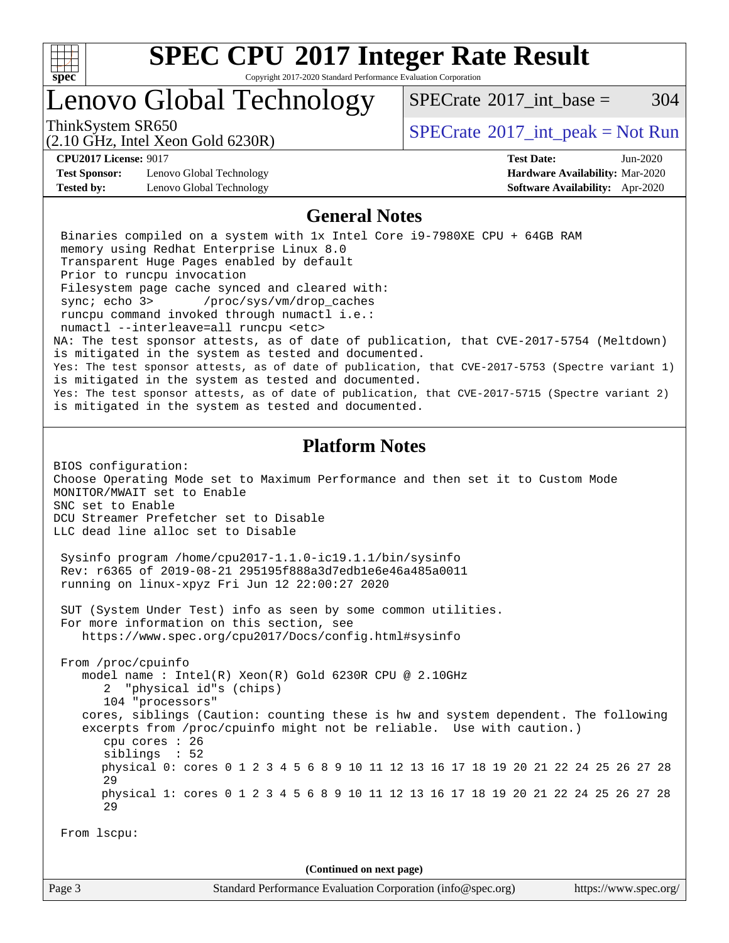

Copyright 2017-2020 Standard Performance Evaluation Corporation

## Lenovo Global Technology

ThinkSystem SR650<br>  $SPECTR_{10}$  [SPECrate](http://www.spec.org/auto/cpu2017/Docs/result-fields.html#SPECrate2017intpeak)®[2017\\_int\\_peak = N](http://www.spec.org/auto/cpu2017/Docs/result-fields.html#SPECrate2017intpeak)ot Run

(2.10 GHz, Intel Xeon Gold 6230R)

[SPECrate](http://www.spec.org/auto/cpu2017/Docs/result-fields.html#SPECrate2017intbase)<sup>®</sup>2017 int base =  $304$ 

**[Test Sponsor:](http://www.spec.org/auto/cpu2017/Docs/result-fields.html#TestSponsor)** Lenovo Global Technology **[Hardware Availability:](http://www.spec.org/auto/cpu2017/Docs/result-fields.html#HardwareAvailability)** Mar-2020 **[Tested by:](http://www.spec.org/auto/cpu2017/Docs/result-fields.html#Testedby)** Lenovo Global Technology **[Software Availability:](http://www.spec.org/auto/cpu2017/Docs/result-fields.html#SoftwareAvailability)** Apr-2020

**[CPU2017 License:](http://www.spec.org/auto/cpu2017/Docs/result-fields.html#CPU2017License)** 9017 **[Test Date:](http://www.spec.org/auto/cpu2017/Docs/result-fields.html#TestDate)** Jun-2020

#### **[General Notes](http://www.spec.org/auto/cpu2017/Docs/result-fields.html#GeneralNotes)**

 Binaries compiled on a system with 1x Intel Core i9-7980XE CPU + 64GB RAM memory using Redhat Enterprise Linux 8.0 Transparent Huge Pages enabled by default Prior to runcpu invocation Filesystem page cache synced and cleared with: sync; echo 3> /proc/sys/vm/drop\_caches runcpu command invoked through numactl i.e.: numactl --interleave=all runcpu <etc> NA: The test sponsor attests, as of date of publication, that CVE-2017-5754 (Meltdown) is mitigated in the system as tested and documented. Yes: The test sponsor attests, as of date of publication, that CVE-2017-5753 (Spectre variant 1) is mitigated in the system as tested and documented. Yes: The test sponsor attests, as of date of publication, that CVE-2017-5715 (Spectre variant 2) is mitigated in the system as tested and documented.

#### **[Platform Notes](http://www.spec.org/auto/cpu2017/Docs/result-fields.html#PlatformNotes)**

BIOS configuration: Choose Operating Mode set to Maximum Performance and then set it to Custom Mode MONITOR/MWAIT set to Enable SNC set to Enable DCU Streamer Prefetcher set to Disable LLC dead line alloc set to Disable

 Sysinfo program /home/cpu2017-1.1.0-ic19.1.1/bin/sysinfo Rev: r6365 of 2019-08-21 295195f888a3d7edb1e6e46a485a0011 running on linux-xpyz Fri Jun 12 22:00:27 2020

 SUT (System Under Test) info as seen by some common utilities. For more information on this section, see <https://www.spec.org/cpu2017/Docs/config.html#sysinfo>

 From /proc/cpuinfo model name : Intel(R) Xeon(R) Gold 6230R CPU @ 2.10GHz 2 "physical id"s (chips) 104 "processors" cores, siblings (Caution: counting these is hw and system dependent. The following excerpts from /proc/cpuinfo might not be reliable. Use with caution.) cpu cores : 26 siblings : 52 physical 0: cores 0 1 2 3 4 5 6 8 9 10 11 12 13 16 17 18 19 20 21 22 24 25 26 27 28 29 physical 1: cores 0 1 2 3 4 5 6 8 9 10 11 12 13 16 17 18 19 20 21 22 24 25 26 27 28 29

From lscpu:

**(Continued on next page)**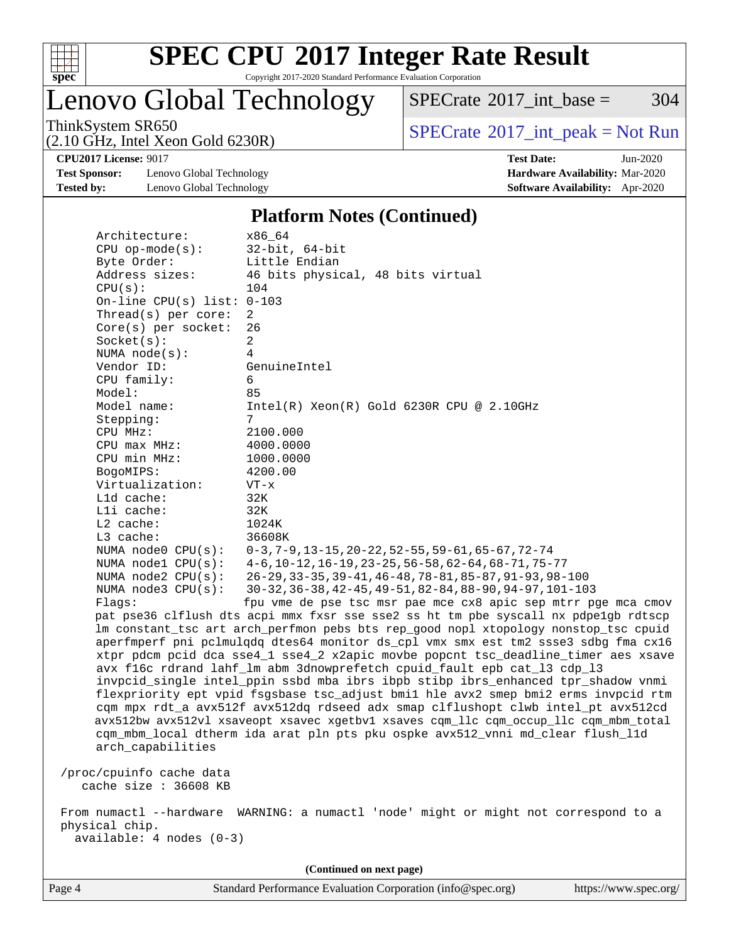

Copyright 2017-2020 Standard Performance Evaluation Corporation

Lenovo Global Technology

 $SPECTate$ <sup>®</sup>[2017\\_int\\_base =](http://www.spec.org/auto/cpu2017/Docs/result-fields.html#SPECrate2017intbase) 304

(2.10 GHz, Intel Xeon Gold 6230R)

ThinkSystem SR650<br>  $SPECTA = Not Run$ <br>  $SPECTA = Not Run$ 

**[Test Sponsor:](http://www.spec.org/auto/cpu2017/Docs/result-fields.html#TestSponsor)** Lenovo Global Technology **[Hardware Availability:](http://www.spec.org/auto/cpu2017/Docs/result-fields.html#HardwareAvailability)** Mar-2020 **[Tested by:](http://www.spec.org/auto/cpu2017/Docs/result-fields.html#Testedby)** Lenovo Global Technology **[Software Availability:](http://www.spec.org/auto/cpu2017/Docs/result-fields.html#SoftwareAvailability)** Apr-2020

**[CPU2017 License:](http://www.spec.org/auto/cpu2017/Docs/result-fields.html#CPU2017License)** 9017 **[Test Date:](http://www.spec.org/auto/cpu2017/Docs/result-fields.html#TestDate)** Jun-2020

#### **[Platform Notes \(Continued\)](http://www.spec.org/auto/cpu2017/Docs/result-fields.html#PlatformNotes)**

Architecture: x86\_64 CPU op-mode(s): 32-bit, 64-bit Byte Order: Little Endian Address sizes: 46 bits physical, 48 bits virtual CPU(s): 104 On-line CPU(s) list: 0-103 Thread(s) per core: 2 Core(s) per socket: 26 Socket(s): 2 NUMA node(s): 4 Vendor ID: GenuineIntel CPU family: 6 Model: 85 Model name: Intel(R) Xeon(R) Gold 6230R CPU @ 2.10GHz Stepping: 7 CPU MHz: 2100.000 CPU max MHz: 4000.0000 CPU min MHz: 1000.0000 BogoMIPS: 4200.00 Virtualization: VT-x L1d cache: 32K L1i cache: 32K L2 cache: 1024K L3 cache: 36608K NUMA node0 CPU(s): 0-3,7-9,13-15,20-22,52-55,59-61,65-67,72-74 NUMA node1 CPU(s): 4-6,10-12,16-19,23-25,56-58,62-64,68-71,75-77 NUMA node2 CPU(s): 26-29,33-35,39-41,46-48,78-81,85-87,91-93,98-100 NUMA node3 CPU(s): 30-32,36-38,42-45,49-51,82-84,88-90,94-97,101-103 Flags: fpu vme de pse tsc msr pae mce cx8 apic sep mtrr pge mca cmov pat pse36 clflush dts acpi mmx fxsr sse sse2 ss ht tm pbe syscall nx pdpe1gb rdtscp lm constant\_tsc art arch\_perfmon pebs bts rep\_good nopl xtopology nonstop\_tsc cpuid aperfmperf pni pclmulqdq dtes64 monitor ds\_cpl vmx smx est tm2 ssse3 sdbg fma cx16 xtpr pdcm pcid dca sse4\_1 sse4\_2 x2apic movbe popcnt tsc\_deadline\_timer aes xsave avx f16c rdrand lahf\_lm abm 3dnowprefetch cpuid\_fault epb cat\_l3 cdp\_l3 invpcid\_single intel\_ppin ssbd mba ibrs ibpb stibp ibrs\_enhanced tpr\_shadow vnmi flexpriority ept vpid fsgsbase tsc\_adjust bmi1 hle avx2 smep bmi2 erms invpcid rtm cqm mpx rdt\_a avx512f avx512dq rdseed adx smap clflushopt clwb intel\_pt avx512cd avx512bw avx512vl xsaveopt xsavec xgetbv1 xsaves cqm\_llc cqm\_occup\_llc cqm\_mbm\_total cqm\_mbm\_local dtherm ida arat pln pts pku ospke avx512\_vnni md\_clear flush\_l1d arch\_capabilities /proc/cpuinfo cache data cache size : 36608 KB From numactl --hardware WARNING: a numactl 'node' might or might not correspond to a physical chip. available: 4 nodes (0-3) **(Continued on next page)**

Page 4 Standard Performance Evaluation Corporation [\(info@spec.org\)](mailto:info@spec.org) <https://www.spec.org/>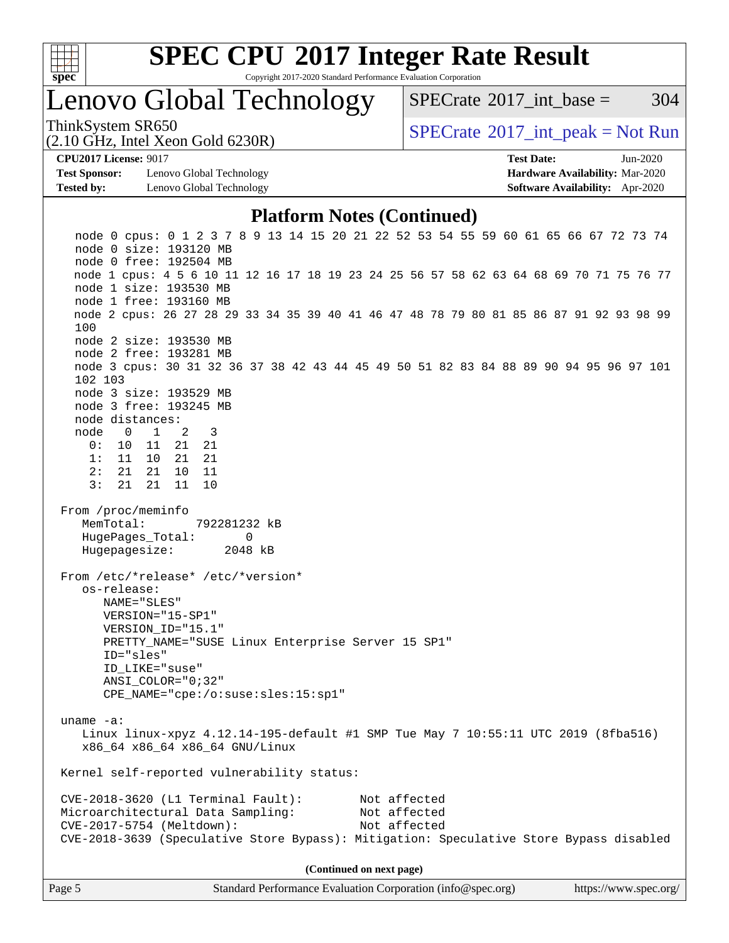

Copyright 2017-2020 Standard Performance Evaluation Corporation

Lenovo Global Technology

 $SPECTate@2017\_int\_base = 304$ 

(2.10 GHz, Intel Xeon Gold 6230R)

ThinkSystem SR650<br>  $SPECTR_{10}$  [SPECrate](http://www.spec.org/auto/cpu2017/Docs/result-fields.html#SPECrate2017intpeak)®[2017\\_int\\_peak = N](http://www.spec.org/auto/cpu2017/Docs/result-fields.html#SPECrate2017intpeak)ot Run

**[Test Sponsor:](http://www.spec.org/auto/cpu2017/Docs/result-fields.html#TestSponsor)** Lenovo Global Technology **[Hardware Availability:](http://www.spec.org/auto/cpu2017/Docs/result-fields.html#HardwareAvailability)** Mar-2020 **[Tested by:](http://www.spec.org/auto/cpu2017/Docs/result-fields.html#Testedby)** Lenovo Global Technology **[Software Availability:](http://www.spec.org/auto/cpu2017/Docs/result-fields.html#SoftwareAvailability)** Apr-2020

**[CPU2017 License:](http://www.spec.org/auto/cpu2017/Docs/result-fields.html#CPU2017License)** 9017 **[Test Date:](http://www.spec.org/auto/cpu2017/Docs/result-fields.html#TestDate)** Jun-2020

#### **[Platform Notes \(Continued\)](http://www.spec.org/auto/cpu2017/Docs/result-fields.html#PlatformNotes)**

Page 5 Standard Performance Evaluation Corporation [\(info@spec.org\)](mailto:info@spec.org) <https://www.spec.org/> node 0 cpus: 0 1 2 3 7 8 9 13 14 15 20 21 22 52 53 54 55 59 60 61 65 66 67 72 73 74 node 0 size: 193120 MB node 0 free: 192504 MB node 1 cpus: 4 5 6 10 11 12 16 17 18 19 23 24 25 56 57 58 62 63 64 68 69 70 71 75 76 77 node 1 size: 193530 MB node 1 free: 193160 MB node 2 cpus: 26 27 28 29 33 34 35 39 40 41 46 47 48 78 79 80 81 85 86 87 91 92 93 98 99 100 node 2 size: 193530 MB node 2 free: 193281 MB node 3 cpus: 30 31 32 36 37 38 42 43 44 45 49 50 51 82 83 84 88 89 90 94 95 96 97 101 102 103 node 3 size: 193529 MB node 3 free: 193245 MB node distances: node 0 1 2 3 0: 10 11 21 21 1: 11 10 21 21 2: 21 21 10 11 3: 21 21 11 10 From /proc/meminfo MemTotal: 792281232 kB HugePages Total: 0 Hugepagesize: 2048 kB From /etc/\*release\* /etc/\*version\* os-release: NAME="SLES" VERSION="15-SP1" VERSION\_ID="15.1" PRETTY\_NAME="SUSE Linux Enterprise Server 15 SP1" ID="sles" ID\_LIKE="suse" ANSI\_COLOR="0;32" CPE\_NAME="cpe:/o:suse:sles:15:sp1" uname -a: Linux linux-xpyz 4.12.14-195-default #1 SMP Tue May 7 10:55:11 UTC 2019 (8fba516) x86\_64 x86\_64 x86\_64 GNU/Linux Kernel self-reported vulnerability status: CVE-2018-3620 (L1 Terminal Fault): Not affected Microarchitectural Data Sampling: Not affected CVE-2017-5754 (Meltdown): Not affected CVE-2018-3639 (Speculative Store Bypass): Mitigation: Speculative Store Bypass disabled **(Continued on next page)**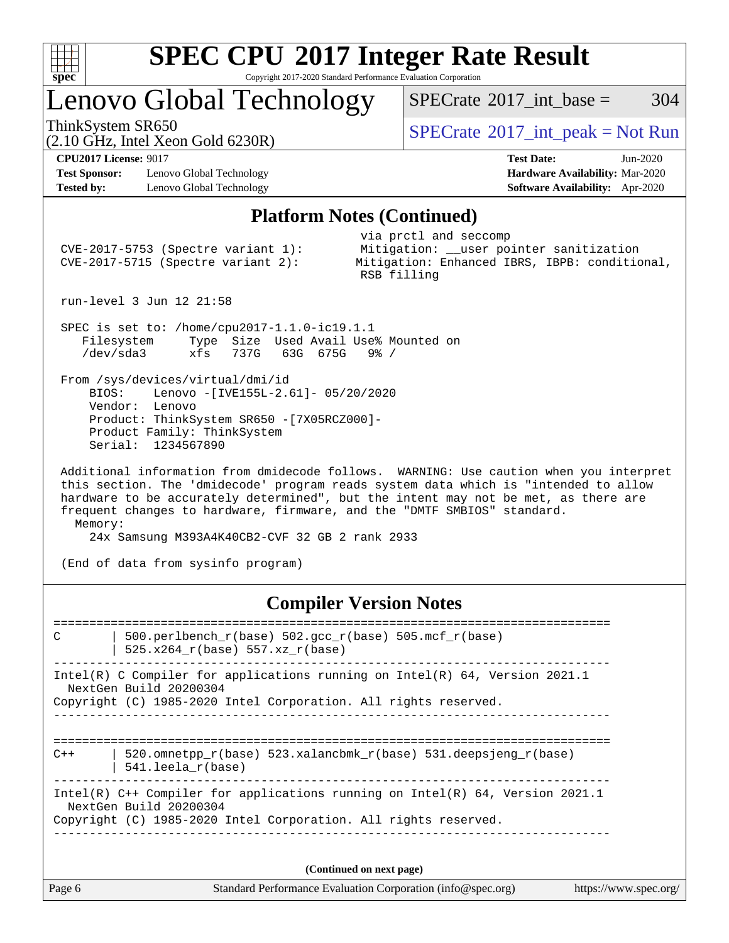

#### **[SPEC CPU](http://www.spec.org/auto/cpu2017/Docs/result-fields.html#SPECCPU2017IntegerRateResult)[2017 Integer Rate Result](http://www.spec.org/auto/cpu2017/Docs/result-fields.html#SPECCPU2017IntegerRateResult)** Copyright 2017-2020 Standard Performance Evaluation Corporation

## Lenovo Global Technology

 $SPECTate$ <sup>®</sup>[2017\\_int\\_base =](http://www.spec.org/auto/cpu2017/Docs/result-fields.html#SPECrate2017intbase) 304

(2.10 GHz, Intel Xeon Gold 6230R)

ThinkSystem SR650<br>  $SPECTR_{10}$  [SPECrate](http://www.spec.org/auto/cpu2017/Docs/result-fields.html#SPECrate2017intpeak)®[2017\\_int\\_peak = N](http://www.spec.org/auto/cpu2017/Docs/result-fields.html#SPECrate2017intpeak)ot Run

**[Test Sponsor:](http://www.spec.org/auto/cpu2017/Docs/result-fields.html#TestSponsor)** Lenovo Global Technology **[Hardware Availability:](http://www.spec.org/auto/cpu2017/Docs/result-fields.html#HardwareAvailability)** Mar-2020 **[Tested by:](http://www.spec.org/auto/cpu2017/Docs/result-fields.html#Testedby)** Lenovo Global Technology **[Software Availability:](http://www.spec.org/auto/cpu2017/Docs/result-fields.html#SoftwareAvailability)** Apr-2020

**[CPU2017 License:](http://www.spec.org/auto/cpu2017/Docs/result-fields.html#CPU2017License)** 9017 **[Test Date:](http://www.spec.org/auto/cpu2017/Docs/result-fields.html#TestDate)** Jun-2020

#### **[Platform Notes \(Continued\)](http://www.spec.org/auto/cpu2017/Docs/result-fields.html#PlatformNotes)**

|                                                                                                                                                                                                                                                                                                                                                                                                             | $CVE-2017-5753$ (Spectre variant 1):<br>$CVE-2017-5715$ (Spectre variant 2):                                                                                                                       | via prctl and seccomp<br>Mitigation: __user pointer sanitization<br>Mitigation: Enhanced IBRS, IBPB: conditional,<br>RSB filling |  |  |  |  |  |
|-------------------------------------------------------------------------------------------------------------------------------------------------------------------------------------------------------------------------------------------------------------------------------------------------------------------------------------------------------------------------------------------------------------|----------------------------------------------------------------------------------------------------------------------------------------------------------------------------------------------------|----------------------------------------------------------------------------------------------------------------------------------|--|--|--|--|--|
|                                                                                                                                                                                                                                                                                                                                                                                                             | run-level 3 Jun 12 21:58                                                                                                                                                                           |                                                                                                                                  |  |  |  |  |  |
|                                                                                                                                                                                                                                                                                                                                                                                                             | SPEC is set to: /home/cpu2017-1.1.0-ic19.1.1<br>Filesystem Type Size Used Avail Use% Mounted on<br>/dev/sda3 xfs 737G 63G 675G 9% /                                                                |                                                                                                                                  |  |  |  |  |  |
|                                                                                                                                                                                                                                                                                                                                                                                                             | From /sys/devices/virtual/dmi/id<br>BIOS: Lenovo - [IVE155L-2.61] - 05/20/2020<br>Vendor: Lenovo<br>Product: ThinkSystem SR650 -[7X05RCZ000]-<br>Product Family: ThinkSystem<br>Serial: 1234567890 |                                                                                                                                  |  |  |  |  |  |
| Additional information from dmidecode follows. WARNING: Use caution when you interpret<br>this section. The 'dmidecode' program reads system data which is "intended to allow<br>hardware to be accurately determined", but the intent may not be met, as there are<br>frequent changes to hardware, firmware, and the "DMTF SMBIOS" standard.<br>Memory:<br>24x Samsung M393A4K40CB2-CVF 32 GB 2 rank 2933 |                                                                                                                                                                                                    |                                                                                                                                  |  |  |  |  |  |
|                                                                                                                                                                                                                                                                                                                                                                                                             | (End of data from sysinfo program)                                                                                                                                                                 |                                                                                                                                  |  |  |  |  |  |

#### **[Compiler Version Notes](http://www.spec.org/auto/cpu2017/Docs/result-fields.html#CompilerVersionNotes)**

============================================================================== C | 500.perlbench r(base) 502.gcc r(base) 505.mcf r(base) | 525.x264\_r(base) 557.xz\_r(base) ------------------------------------------------------------------------------ Intel(R) C Compiler for applications running on Intel(R) 64, Version 2021.1 NextGen Build 20200304 Copyright (C) 1985-2020 Intel Corporation. All rights reserved. ------------------------------------------------------------------------------ ============================================================================== C++ | 520.omnetpp  $r(base)$  523.xalancbmk  $r(base)$  531.deepsjeng  $r(base)$  | 541.leela\_r(base) ------------------------------------------------------------------------------ Intel(R) C++ Compiler for applications running on Intel(R) 64, Version 2021.1 NextGen Build 20200304 Copyright (C) 1985-2020 Intel Corporation. All rights reserved. ------------------------------------------------------------------------------ **(Continued on next page)**

| age b |  |
|-------|--|
|-------|--|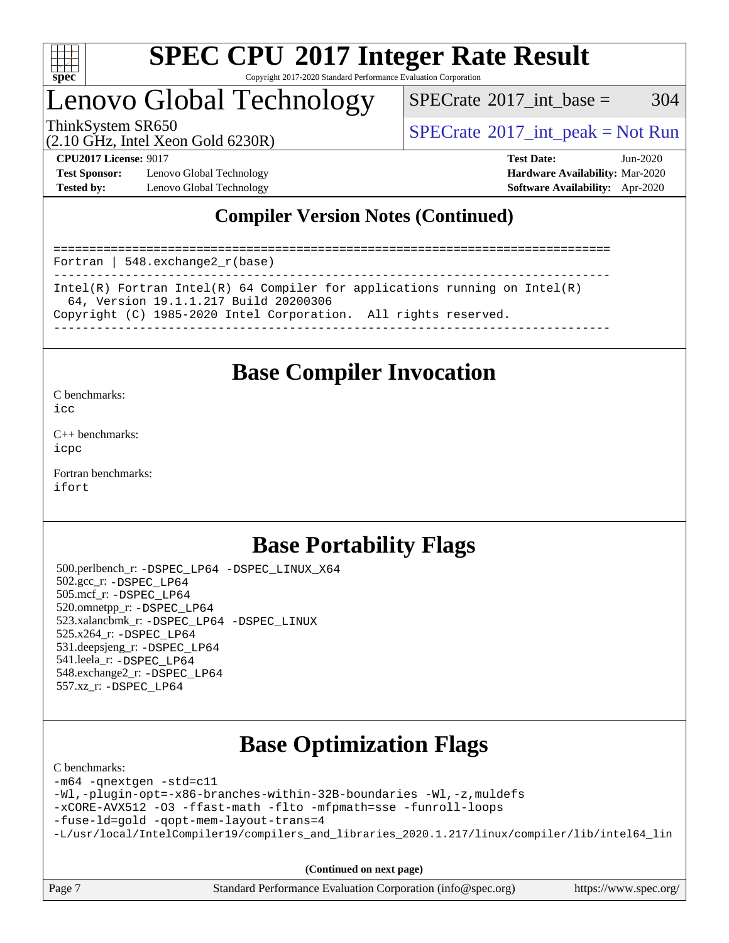

Copyright 2017-2020 Standard Performance Evaluation Corporation

## Lenovo Global Technology

[SPECrate](http://www.spec.org/auto/cpu2017/Docs/result-fields.html#SPECrate2017intbase)<sup>®</sup>2017 int base =  $304$ 

(2.10 GHz, Intel Xeon Gold 6230R)

ThinkSystem SR650<br>  $SPECTA = Not Run$ <br>  $SPECTA = Not Run$ 

**[Test Sponsor:](http://www.spec.org/auto/cpu2017/Docs/result-fields.html#TestSponsor)** Lenovo Global Technology **[Hardware Availability:](http://www.spec.org/auto/cpu2017/Docs/result-fields.html#HardwareAvailability)** Mar-2020 **[Tested by:](http://www.spec.org/auto/cpu2017/Docs/result-fields.html#Testedby)** Lenovo Global Technology **[Software Availability:](http://www.spec.org/auto/cpu2017/Docs/result-fields.html#SoftwareAvailability)** Apr-2020

**[CPU2017 License:](http://www.spec.org/auto/cpu2017/Docs/result-fields.html#CPU2017License)** 9017 **[Test Date:](http://www.spec.org/auto/cpu2017/Docs/result-fields.html#TestDate)** Jun-2020

### **[Compiler Version Notes \(Continued\)](http://www.spec.org/auto/cpu2017/Docs/result-fields.html#CompilerVersionNotes)**

============================================================================== Fortran | 548.exchange2\_r(base) ------------------------------------------------------------------------------ Intel(R) Fortran Intel(R) 64 Compiler for applications running on Intel(R) 64, Version 19.1.1.217 Build 20200306 Copyright (C) 1985-2020 Intel Corporation. All rights reserved. ------------------------------------------------------------------------------

### **[Base Compiler Invocation](http://www.spec.org/auto/cpu2017/Docs/result-fields.html#BaseCompilerInvocation)**

[C benchmarks](http://www.spec.org/auto/cpu2017/Docs/result-fields.html#Cbenchmarks):  $i$ cc

[C++ benchmarks:](http://www.spec.org/auto/cpu2017/Docs/result-fields.html#CXXbenchmarks) [icpc](http://www.spec.org/cpu2017/results/res2020q3/cpu2017-20200622-23204.flags.html#user_CXXbase_intel_icpc_c510b6838c7f56d33e37e94d029a35b4a7bccf4766a728ee175e80a419847e808290a9b78be685c44ab727ea267ec2f070ec5dc83b407c0218cded6866a35d07)

[Fortran benchmarks](http://www.spec.org/auto/cpu2017/Docs/result-fields.html#Fortranbenchmarks): [ifort](http://www.spec.org/cpu2017/results/res2020q3/cpu2017-20200622-23204.flags.html#user_FCbase_intel_ifort_8111460550e3ca792625aed983ce982f94888b8b503583aa7ba2b8303487b4d8a21a13e7191a45c5fd58ff318f48f9492884d4413fa793fd88dd292cad7027ca)

### **[Base Portability Flags](http://www.spec.org/auto/cpu2017/Docs/result-fields.html#BasePortabilityFlags)**

 500.perlbench\_r: [-DSPEC\\_LP64](http://www.spec.org/cpu2017/results/res2020q3/cpu2017-20200622-23204.flags.html#b500.perlbench_r_basePORTABILITY_DSPEC_LP64) [-DSPEC\\_LINUX\\_X64](http://www.spec.org/cpu2017/results/res2020q3/cpu2017-20200622-23204.flags.html#b500.perlbench_r_baseCPORTABILITY_DSPEC_LINUX_X64) 502.gcc\_r: [-DSPEC\\_LP64](http://www.spec.org/cpu2017/results/res2020q3/cpu2017-20200622-23204.flags.html#suite_basePORTABILITY502_gcc_r_DSPEC_LP64) 505.mcf\_r: [-DSPEC\\_LP64](http://www.spec.org/cpu2017/results/res2020q3/cpu2017-20200622-23204.flags.html#suite_basePORTABILITY505_mcf_r_DSPEC_LP64) 520.omnetpp\_r: [-DSPEC\\_LP64](http://www.spec.org/cpu2017/results/res2020q3/cpu2017-20200622-23204.flags.html#suite_basePORTABILITY520_omnetpp_r_DSPEC_LP64) 523.xalancbmk\_r: [-DSPEC\\_LP64](http://www.spec.org/cpu2017/results/res2020q3/cpu2017-20200622-23204.flags.html#suite_basePORTABILITY523_xalancbmk_r_DSPEC_LP64) [-DSPEC\\_LINUX](http://www.spec.org/cpu2017/results/res2020q3/cpu2017-20200622-23204.flags.html#b523.xalancbmk_r_baseCXXPORTABILITY_DSPEC_LINUX) 525.x264\_r: [-DSPEC\\_LP64](http://www.spec.org/cpu2017/results/res2020q3/cpu2017-20200622-23204.flags.html#suite_basePORTABILITY525_x264_r_DSPEC_LP64) 531.deepsjeng\_r: [-DSPEC\\_LP64](http://www.spec.org/cpu2017/results/res2020q3/cpu2017-20200622-23204.flags.html#suite_basePORTABILITY531_deepsjeng_r_DSPEC_LP64) 541.leela\_r: [-DSPEC\\_LP64](http://www.spec.org/cpu2017/results/res2020q3/cpu2017-20200622-23204.flags.html#suite_basePORTABILITY541_leela_r_DSPEC_LP64) 548.exchange2\_r: [-DSPEC\\_LP64](http://www.spec.org/cpu2017/results/res2020q3/cpu2017-20200622-23204.flags.html#suite_basePORTABILITY548_exchange2_r_DSPEC_LP64) 557.xz\_r: [-DSPEC\\_LP64](http://www.spec.org/cpu2017/results/res2020q3/cpu2017-20200622-23204.flags.html#suite_basePORTABILITY557_xz_r_DSPEC_LP64)

### **[Base Optimization Flags](http://www.spec.org/auto/cpu2017/Docs/result-fields.html#BaseOptimizationFlags)**

#### [C benchmarks](http://www.spec.org/auto/cpu2017/Docs/result-fields.html#Cbenchmarks):

[-m64](http://www.spec.org/cpu2017/results/res2020q3/cpu2017-20200622-23204.flags.html#user_CCbase_m64-icc) [-qnextgen](http://www.spec.org/cpu2017/results/res2020q3/cpu2017-20200622-23204.flags.html#user_CCbase_f-qnextgen) [-std=c11](http://www.spec.org/cpu2017/results/res2020q3/cpu2017-20200622-23204.flags.html#user_CCbase_std-icc-std_0e1c27790398a4642dfca32ffe6c27b5796f9c2d2676156f2e42c9c44eaad0c049b1cdb667a270c34d979996257aeb8fc440bfb01818dbc9357bd9d174cb8524) [-Wl,-plugin-opt=-x86-branches-within-32B-boundaries](http://www.spec.org/cpu2017/results/res2020q3/cpu2017-20200622-23204.flags.html#user_CCbase_f-x86-branches-within-32B-boundaries_0098b4e4317ae60947b7b728078a624952a08ac37a3c797dfb4ffeb399e0c61a9dd0f2f44ce917e9361fb9076ccb15e7824594512dd315205382d84209e912f3) [-Wl,-z,muldefs](http://www.spec.org/cpu2017/results/res2020q3/cpu2017-20200622-23204.flags.html#user_CCbase_link_force_multiple1_b4cbdb97b34bdee9ceefcfe54f4c8ea74255f0b02a4b23e853cdb0e18eb4525ac79b5a88067c842dd0ee6996c24547a27a4b99331201badda8798ef8a743f577) [-xCORE-AVX512](http://www.spec.org/cpu2017/results/res2020q3/cpu2017-20200622-23204.flags.html#user_CCbase_f-xCORE-AVX512) [-O3](http://www.spec.org/cpu2017/results/res2020q3/cpu2017-20200622-23204.flags.html#user_CCbase_f-O3) [-ffast-math](http://www.spec.org/cpu2017/results/res2020q3/cpu2017-20200622-23204.flags.html#user_CCbase_f-ffast-math) [-flto](http://www.spec.org/cpu2017/results/res2020q3/cpu2017-20200622-23204.flags.html#user_CCbase_f-flto) [-mfpmath=sse](http://www.spec.org/cpu2017/results/res2020q3/cpu2017-20200622-23204.flags.html#user_CCbase_f-mfpmath_70eb8fac26bde974f8ab713bc9086c5621c0b8d2f6c86f38af0bd7062540daf19db5f3a066d8c6684be05d84c9b6322eb3b5be6619d967835195b93d6c02afa1) [-funroll-loops](http://www.spec.org/cpu2017/results/res2020q3/cpu2017-20200622-23204.flags.html#user_CCbase_f-funroll-loops) [-fuse-ld=gold](http://www.spec.org/cpu2017/results/res2020q3/cpu2017-20200622-23204.flags.html#user_CCbase_f-fuse-ld_920b3586e2b8c6e0748b9c84fa9b744736ba725a32cab14ad8f3d4ad28eecb2f59d1144823d2e17006539a88734fe1fc08fc3035f7676166309105a78aaabc32) [-qopt-mem-layout-trans=4](http://www.spec.org/cpu2017/results/res2020q3/cpu2017-20200622-23204.flags.html#user_CCbase_f-qopt-mem-layout-trans_fa39e755916c150a61361b7846f310bcdf6f04e385ef281cadf3647acec3f0ae266d1a1d22d972a7087a248fd4e6ca390a3634700869573d231a252c784941a8) [-L/usr/local/IntelCompiler19/compilers\\_and\\_libraries\\_2020.1.217/linux/compiler/lib/intel64\\_lin](http://www.spec.org/cpu2017/results/res2020q3/cpu2017-20200622-23204.flags.html#user_CCbase_linkpath_2cb6f503891ebf8baee7515f4e7d4ec1217444d1d05903cc0091ac4158de400651d2b2313a9fa414cb8a8f0e16ab029634f5c6db340f400369c190d4db8a54a0)

**(Continued on next page)**

| Page 7 | Standard Performance Evaluation Corporation (info@spec.org) | https://www.spec.org/ |
|--------|-------------------------------------------------------------|-----------------------|
|        |                                                             |                       |